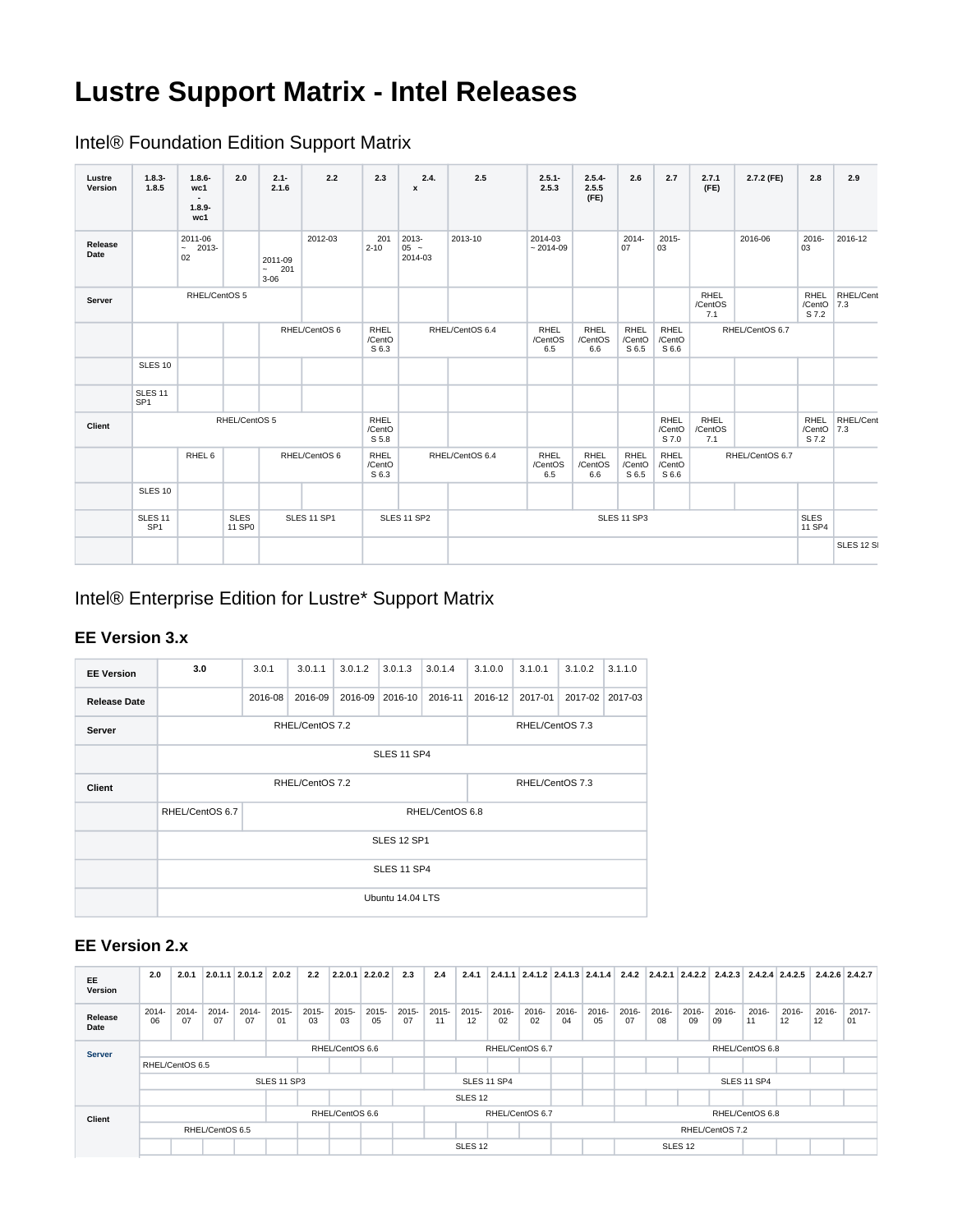# **Lustre Support Matrix - Intel Releases**

Intel® Foundation Edition Support Matrix

| Lustre<br>Version | $1.8.3 -$<br>1.8.5                    | $1.8.6 -$<br>wc1<br>$\sim$<br>$1.8.9 -$<br>wc1 | 2.0                   | $2.1 -$<br>2.1.6                     | 2.2           | 2.3                            | 2.4.<br>$\mathbf{x}$       | 2.5             | $2.5.1 -$<br>2.5.3     | $2.5.4 -$<br>2.5.5<br>(FE)    | 2.6                     | 2.7                            | 2.7.1<br>(FE)                 | 2.7.2 (FE)      | 2.8                            | 2.9              |
|-------------------|---------------------------------------|------------------------------------------------|-----------------------|--------------------------------------|---------------|--------------------------------|----------------------------|-----------------|------------------------|-------------------------------|-------------------------|--------------------------------|-------------------------------|-----------------|--------------------------------|------------------|
| Release<br>Date   |                                       | 2011-06<br>$\sim$<br>2013-<br>02               |                       | 2011-09<br>$\sim$<br>201<br>$3 - 06$ | 2012-03       | 201<br>$2 - 10$                | 2013-<br>$05 -$<br>2014-03 | 2013-10         | 2014-03<br>$~2014-09$  |                               | 2014-<br>07             | $2015 -$<br>03                 |                               | 2016-06         | 2016-<br>03                    | 2016-12          |
| Server            |                                       | RHEL/CentOS 5                                  |                       |                                      |               |                                |                            |                 |                        |                               |                         |                                | <b>RHEL</b><br>/CentOS<br>7.1 |                 | <b>RHEL</b><br>/CentO<br>S 7.2 | RHEL/Cent<br>7.3 |
|                   |                                       |                                                |                       |                                      | RHEL/CentOS 6 | <b>RHEL</b><br>/CentO<br>S 6.3 |                            | RHEL/CentOS 6.4 | RHEL<br>/CentOS<br>6.5 | RHEL<br>/CentOS<br>6.6        | RHEL<br>/CentO<br>S 6.5 | <b>RHEL</b><br>/CentO<br>S 6.6 | RHEL/CentOS 6.7               |                 |                                |                  |
|                   | <b>SLES 10</b>                        |                                                |                       |                                      |               |                                |                            |                 |                        |                               |                         |                                |                               |                 |                                |                  |
|                   | SLES <sub>11</sub><br>SP <sub>1</sub> |                                                |                       |                                      |               |                                |                            |                 |                        |                               |                         |                                |                               |                 |                                |                  |
| Client            |                                       |                                                | RHEL/CentOS 5         |                                      |               | <b>RHEL</b><br>/CentO<br>S 5.8 |                            |                 |                        |                               |                         | <b>RHEL</b><br>/CentO<br>S 7.0 | RHEL<br>/CentOS<br>7.1        |                 | <b>RHEL</b><br>/CentO<br>S 7.2 | RHEL/Cent<br>7.3 |
|                   |                                       | RHEL 6                                         |                       |                                      | RHEL/CentOS 6 | RHEL<br>/CentO<br>S 6.3        |                            | RHEL/CentOS 6.4 | RHEL<br>/CentOS<br>6.5 | <b>RHEL</b><br>/CentOS<br>6.6 | RHEL<br>/CentO<br>S 6.5 | <b>RHEL</b><br>/CentO<br>S 6.6 |                               | RHEL/CentOS 6.7 |                                |                  |
|                   | <b>SLES 10</b>                        |                                                |                       |                                      |               |                                |                            |                 |                        |                               |                         |                                |                               |                 |                                |                  |
|                   | <b>SLES 11</b><br>SP <sub>1</sub>     |                                                | <b>SLES</b><br>11 SP0 |                                      | SLES 11 SP1   |                                | SLES 11 SP2                |                 |                        |                               | SLES 11 SP3             |                                |                               |                 | <b>SLES</b><br>11 SP4          |                  |
|                   |                                       |                                                |                       |                                      |               |                                |                            |                 |                        |                               |                         |                                |                               |                 | <b>SLES 12 S</b>               |                  |

Intel® Enterprise Edition for Lustre\* Support Matrix

#### **EE Version 3.x**

| <b>EE Version</b>   | 3.0                                | 3.0.1           | 3.0.1.1 | 3.0.1.2         | 3.0.1.3          | 3.0.1.4 | 3.1.0.0 | 3.1.0.1 | 3.1.0.2 | 3.1.1.0 |  |  |  |  |  |
|---------------------|------------------------------------|-----------------|---------|-----------------|------------------|---------|---------|---------|---------|---------|--|--|--|--|--|
| <b>Release Date</b> |                                    | 2016-08         | 2016-09 | 2016-09         | 2016-10          | 2016-11 | 2016-12 | 2017-01 | 2017-02 | 2017-03 |  |  |  |  |  |
| Server              |                                    | RHEL/CentOS 7.2 |         | RHEL/CentOS 7.3 |                  |         |         |         |         |         |  |  |  |  |  |
|                     | <b>SLES 11 SP4</b>                 |                 |         |                 |                  |         |         |         |         |         |  |  |  |  |  |
| Client              |                                    | RHEL/CentOS 7.2 |         | RHEL/CentOS 7.3 |                  |         |         |         |         |         |  |  |  |  |  |
|                     | RHEL/CentOS 6.7<br>RHEL/CentOS 6.8 |                 |         |                 |                  |         |         |         |         |         |  |  |  |  |  |
|                     |                                    | SLES 12 SP1     |         |                 |                  |         |         |         |         |         |  |  |  |  |  |
|                     | <b>SLES 11 SP4</b>                 |                 |         |                 |                  |         |         |         |         |         |  |  |  |  |  |
|                     |                                    |                 |         |                 | Ubuntu 14.04 LTS |         |         |         |         |         |  |  |  |  |  |

#### **EE Version 2.x**

| EE<br>Version   | 2.0             | 2.0.1          |                | $2.0.1.1$ $2.0.1.2$ | 2.0.2       | 2.2             | 2.2.0.1        | 2.2.0.2         | 2.3         | 2.4                | 2.4.1              |                 |                |                |                    |                |                |                | 2.4.1.1 2.4.1.2 2.4.1.3 2.4.1.4 2.4.2 2.4.2.1 2.4.2.2 2.4.2.3 2.4.2.4 2.4.2.5 |                |             | $2.4.2.6$ 2.4.2.7 |             |
|-----------------|-----------------|----------------|----------------|---------------------|-------------|-----------------|----------------|-----------------|-------------|--------------------|--------------------|-----------------|----------------|----------------|--------------------|----------------|----------------|----------------|-------------------------------------------------------------------------------|----------------|-------------|-------------------|-------------|
| Release<br>Date | $2014 -$<br>06  | $2014 -$<br>07 | $2014 -$<br>07 | 2014-<br>07         | 2015-<br>01 | $2015 -$<br>03  | $2015 -$<br>03 | $2015 -$<br>05  | 2015-<br>07 | $2015 -$<br>11     | $2015 -$<br>12     | 2016-<br>02     | $2016 -$<br>02 | $2016 -$<br>04 | 2016-<br>05        | $2016 -$<br>07 | $2016 -$<br>08 | $2016 -$<br>09 | $2016 -$<br>09                                                                | $2016 -$<br>11 | 2016-<br>12 | 2016-<br>12       | 2017-<br>01 |
| <b>Server</b>   | RHEL/CentOS 6.6 |                |                |                     |             |                 |                | RHEL/CentOS 6.7 |             |                    |                    | RHEL/CentOS 6.8 |                |                |                    |                |                |                |                                                                               |                |             |                   |             |
|                 | RHEL/CentOS 6.5 |                |                |                     |             |                 |                |                 |             |                    |                    |                 |                |                |                    |                |                |                |                                                                               |                |             |                   |             |
|                 | SLES 11 SP3     |                |                |                     |             |                 |                |                 | SLES 11 SP4 |                    |                    |                 |                |                | <b>SLES 11 SP4</b> |                |                |                |                                                                               |                |             |                   |             |
|                 |                 |                |                |                     |             |                 |                |                 |             | SLES <sub>12</sub> |                    |                 |                |                |                    |                |                |                |                                                                               |                |             |                   |             |
| Client          | RHEL/CentOS 6.6 |                |                |                     |             | RHEL/CentOS 6.7 |                |                 |             |                    | RHEL/CentOS 6.8    |                 |                |                |                    |                |                |                |                                                                               |                |             |                   |             |
|                 | RHEL/CentOS 6.5 |                |                |                     |             |                 |                |                 |             |                    |                    |                 |                |                | RHEL/CentOS 7.2    |                |                |                |                                                                               |                |             |                   |             |
|                 |                 |                |                |                     |             |                 |                |                 |             |                    | SLES <sub>12</sub> |                 |                |                | SLES <sub>12</sub> |                |                |                |                                                                               |                |             |                   |             |